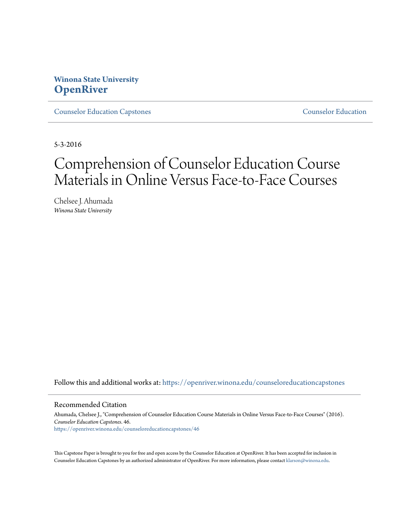## **Winona State University [OpenRiver](https://openriver.winona.edu?utm_source=openriver.winona.edu%2Fcounseloreducationcapstones%2F46&utm_medium=PDF&utm_campaign=PDFCoverPages)**

[Counselor Education Capstones](https://openriver.winona.edu/counseloreducationcapstones?utm_source=openriver.winona.edu%2Fcounseloreducationcapstones%2F46&utm_medium=PDF&utm_campaign=PDFCoverPages) [Counselor Education](https://openriver.winona.edu/counseloreducation?utm_source=openriver.winona.edu%2Fcounseloreducationcapstones%2F46&utm_medium=PDF&utm_campaign=PDFCoverPages)

5-3-2016

# Comprehension of Counselor Education Course Materials in Online Versus Face-to-Face Courses

Chelsee J. Ahumada *Winona State University*

Follow this and additional works at: [https://openriver.winona.edu/counseloreducationcapstones](https://openriver.winona.edu/counseloreducationcapstones?utm_source=openriver.winona.edu%2Fcounseloreducationcapstones%2F46&utm_medium=PDF&utm_campaign=PDFCoverPages)

#### Recommended Citation

Ahumada, Chelsee J., "Comprehension of Counselor Education Course Materials in Online Versus Face-to-Face Courses" (2016). *Counselor Education Capstones*. 46. [https://openriver.winona.edu/counseloreducationcapstones/46](https://openriver.winona.edu/counseloreducationcapstones/46?utm_source=openriver.winona.edu%2Fcounseloreducationcapstones%2F46&utm_medium=PDF&utm_campaign=PDFCoverPages)

This Capstone Paper is brought to you for free and open access by the Counselor Education at OpenRiver. It has been accepted for inclusion in Counselor Education Capstones by an authorized administrator of OpenRiver. For more information, please contact [klarson@winona.edu](mailto:klarson@winona.edu).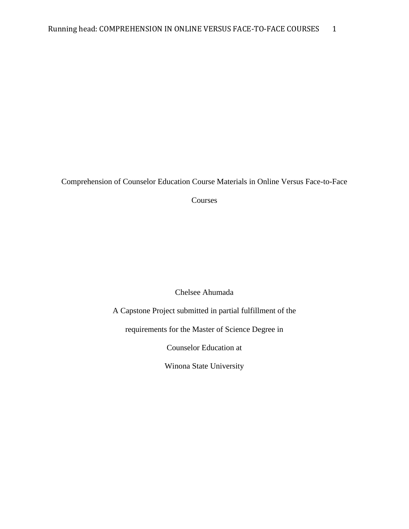Comprehension of Counselor Education Course Materials in Online Versus Face-to-Face

Courses

Chelsee Ahumada

A Capstone Project submitted in partial fulfillment of the

requirements for the Master of Science Degree in

Counselor Education at

Winona State University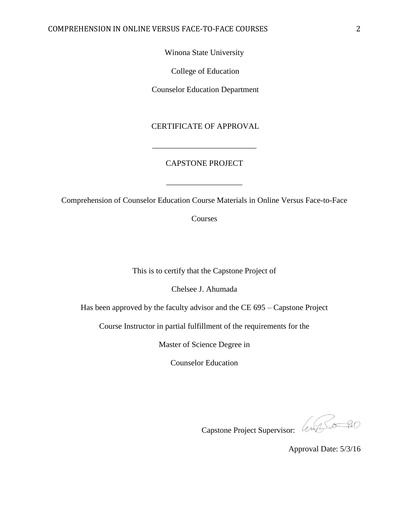Winona State University

College of Education

Counselor Education Department

CERTIFICATE OF APPROVAL

### CAPSTONE PROJECT

\_\_\_\_\_\_\_\_\_\_\_\_\_\_\_\_\_\_\_\_\_\_\_\_\_\_

Comprehension of Counselor Education Course Materials in Online Versus Face-to-Face

\_\_\_\_\_\_\_\_\_\_\_\_\_\_\_\_\_\_\_

Courses

This is to certify that the Capstone Project of

Chelsee J. Ahumada

Has been approved by the faculty advisor and the CE 695 – Capstone Project

Course Instructor in partial fulfillment of the requirements for the

Master of Science Degree in

Counselor Education

Capstone Project Supervisor: Will Sample

Approval Date: 5/3/16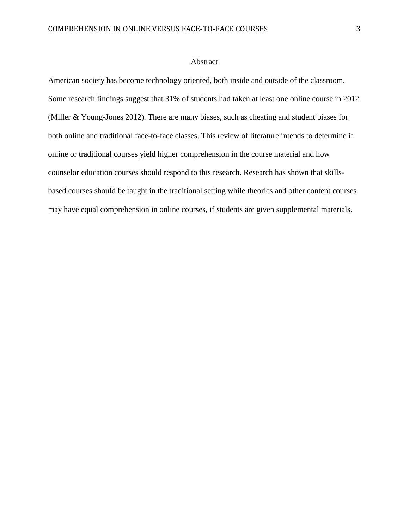#### Abstract

American society has become technology oriented, both inside and outside of the classroom. Some research findings suggest that 31% of students had taken at least one online course in 2012 (Miller & Young-Jones 2012). There are many biases, such as cheating and student biases for both online and traditional face-to-face classes. This review of literature intends to determine if online or traditional courses yield higher comprehension in the course material and how counselor education courses should respond to this research. Research has shown that skillsbased courses should be taught in the traditional setting while theories and other content courses may have equal comprehension in online courses, if students are given supplemental materials.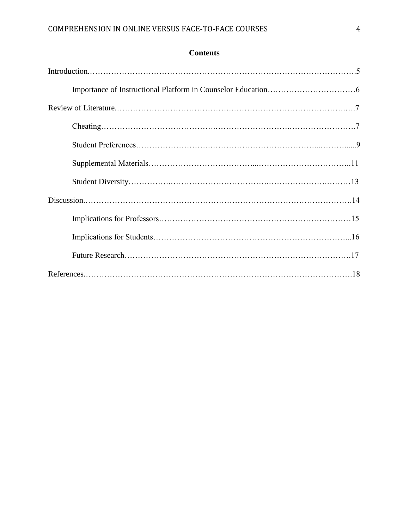| <b>Contents</b> |
|-----------------|
|-----------------|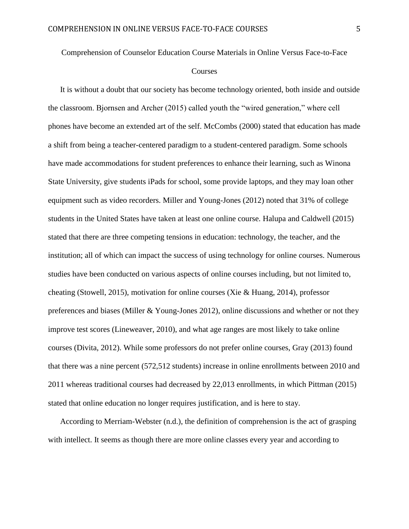Comprehension of Counselor Education Course Materials in Online Versus Face-to-Face

#### **Courses**

It is without a doubt that our society has become technology oriented, both inside and outside the classroom. Bjornsen and Archer (2015) called youth the "wired generation," where cell phones have become an extended art of the self. McCombs (2000) stated that education has made a shift from being a teacher-centered paradigm to a student-centered paradigm. Some schools have made accommodations for student preferences to enhance their learning, such as Winona State University, give students iPads for school, some provide laptops, and they may loan other equipment such as video recorders. Miller and Young-Jones (2012) noted that 31% of college students in the United States have taken at least one online course. Halupa and Caldwell (2015) stated that there are three competing tensions in education: technology, the teacher, and the institution; all of which can impact the success of using technology for online courses. Numerous studies have been conducted on various aspects of online courses including, but not limited to, cheating (Stowell, 2015), motivation for online courses (Xie & Huang, 2014), professor preferences and biases (Miller  $& Young-Jones$  2012), online discussions and whether or not they improve test scores (Lineweaver, 2010), and what age ranges are most likely to take online courses (Divita, 2012). While some professors do not prefer online courses, Gray (2013) found that there was a nine percent (572,512 students) increase in online enrollments between 2010 and 2011 whereas traditional courses had decreased by 22,013 enrollments, in which Pittman (2015) stated that online education no longer requires justification, and is here to stay.

According to Merriam-Webster (n.d.), the definition of comprehension is the act of grasping with intellect. It seems as though there are more online classes every year and according to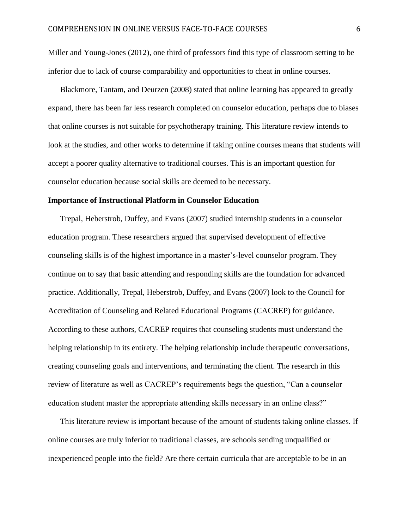Miller and Young-Jones (2012), one third of professors find this type of classroom setting to be inferior due to lack of course comparability and opportunities to cheat in online courses.

Blackmore, Tantam, and Deurzen (2008) stated that online learning has appeared to greatly expand, there has been far less research completed on counselor education, perhaps due to biases that online courses is not suitable for psychotherapy training. This literature review intends to look at the studies, and other works to determine if taking online courses means that students will accept a poorer quality alternative to traditional courses. This is an important question for counselor education because social skills are deemed to be necessary.

#### **Importance of Instructional Platform in Counselor Education**

Trepal, Heberstrob, Duffey, and Evans (2007) studied internship students in a counselor education program. These researchers argued that supervised development of effective counseling skills is of the highest importance in a master's-level counselor program. They continue on to say that basic attending and responding skills are the foundation for advanced practice. Additionally, Trepal, Heberstrob, Duffey, and Evans (2007) look to the Council for Accreditation of Counseling and Related Educational Programs (CACREP) for guidance. According to these authors, CACREP requires that counseling students must understand the helping relationship in its entirety. The helping relationship include therapeutic conversations, creating counseling goals and interventions, and terminating the client. The research in this review of literature as well as CACREP's requirements begs the question, "Can a counselor education student master the appropriate attending skills necessary in an online class?"

This literature review is important because of the amount of students taking online classes. If online courses are truly inferior to traditional classes, are schools sending unqualified or inexperienced people into the field? Are there certain curricula that are acceptable to be in an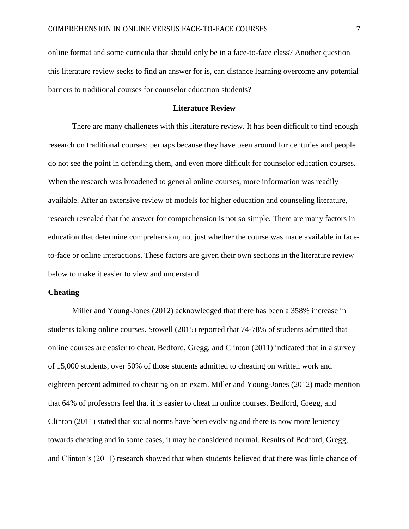online format and some curricula that should only be in a face-to-face class? Another question this literature review seeks to find an answer for is, can distance learning overcome any potential barriers to traditional courses for counselor education students?

#### **Literature Review**

There are many challenges with this literature review. It has been difficult to find enough research on traditional courses; perhaps because they have been around for centuries and people do not see the point in defending them, and even more difficult for counselor education courses. When the research was broadened to general online courses, more information was readily available. After an extensive review of models for higher education and counseling literature, research revealed that the answer for comprehension is not so simple. There are many factors in education that determine comprehension, not just whether the course was made available in faceto-face or online interactions. These factors are given their own sections in the literature review below to make it easier to view and understand.

#### **Cheating**

Miller and Young-Jones (2012) acknowledged that there has been a 358% increase in students taking online courses. Stowell (2015) reported that 74-78% of students admitted that online courses are easier to cheat. Bedford, Gregg, and Clinton (2011) indicated that in a survey of 15,000 students, over 50% of those students admitted to cheating on written work and eighteen percent admitted to cheating on an exam. Miller and Young-Jones (2012) made mention that 64% of professors feel that it is easier to cheat in online courses. Bedford, Gregg, and Clinton (2011) stated that social norms have been evolving and there is now more leniency towards cheating and in some cases, it may be considered normal. Results of Bedford, Gregg, and Clinton's (2011) research showed that when students believed that there was little chance of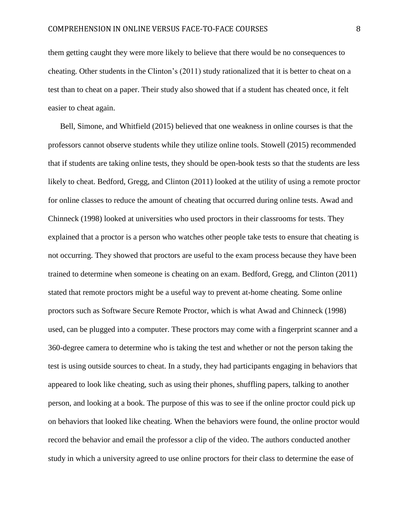them getting caught they were more likely to believe that there would be no consequences to cheating. Other students in the Clinton's (2011) study rationalized that it is better to cheat on a test than to cheat on a paper. Their study also showed that if a student has cheated once, it felt easier to cheat again.

Bell, Simone, and Whitfield (2015) believed that one weakness in online courses is that the professors cannot observe students while they utilize online tools. Stowell (2015) recommended that if students are taking online tests, they should be open-book tests so that the students are less likely to cheat. Bedford, Gregg, and Clinton (2011) looked at the utility of using a remote proctor for online classes to reduce the amount of cheating that occurred during online tests. Awad and Chinneck (1998) looked at universities who used proctors in their classrooms for tests. They explained that a proctor is a person who watches other people take tests to ensure that cheating is not occurring. They showed that proctors are useful to the exam process because they have been trained to determine when someone is cheating on an exam. Bedford, Gregg, and Clinton (2011) stated that remote proctors might be a useful way to prevent at-home cheating. Some online proctors such as Software Secure Remote Proctor, which is what Awad and Chinneck (1998) used, can be plugged into a computer. These proctors may come with a fingerprint scanner and a 360-degree camera to determine who is taking the test and whether or not the person taking the test is using outside sources to cheat. In a study, they had participants engaging in behaviors that appeared to look like cheating, such as using their phones, shuffling papers, talking to another person, and looking at a book. The purpose of this was to see if the online proctor could pick up on behaviors that looked like cheating. When the behaviors were found, the online proctor would record the behavior and email the professor a clip of the video. The authors conducted another study in which a university agreed to use online proctors for their class to determine the ease of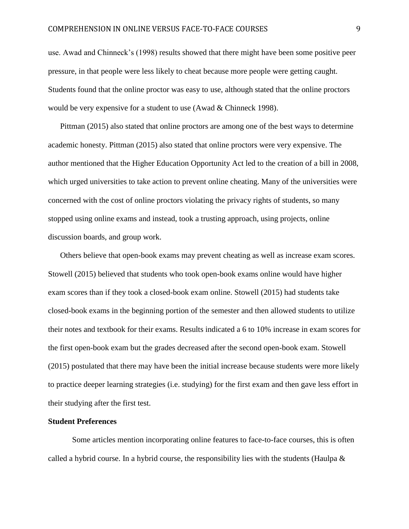use. Awad and Chinneck's (1998) results showed that there might have been some positive peer pressure, in that people were less likely to cheat because more people were getting caught. Students found that the online proctor was easy to use, although stated that the online proctors would be very expensive for a student to use (Awad & Chinneck 1998).

Pittman (2015) also stated that online proctors are among one of the best ways to determine academic honesty. Pittman (2015) also stated that online proctors were very expensive. The author mentioned that the Higher Education Opportunity Act led to the creation of a bill in 2008, which urged universities to take action to prevent online cheating. Many of the universities were concerned with the cost of online proctors violating the privacy rights of students, so many stopped using online exams and instead, took a trusting approach, using projects, online discussion boards, and group work.

Others believe that open-book exams may prevent cheating as well as increase exam scores. Stowell (2015) believed that students who took open-book exams online would have higher exam scores than if they took a closed-book exam online. Stowell (2015) had students take closed-book exams in the beginning portion of the semester and then allowed students to utilize their notes and textbook for their exams. Results indicated a 6 to 10% increase in exam scores for the first open-book exam but the grades decreased after the second open-book exam. Stowell (2015) postulated that there may have been the initial increase because students were more likely to practice deeper learning strategies (i.e. studying) for the first exam and then gave less effort in their studying after the first test.

#### **Student Preferences**

Some articles mention incorporating online features to face-to-face courses, this is often called a hybrid course. In a hybrid course, the responsibility lies with the students (Haulpa  $\&$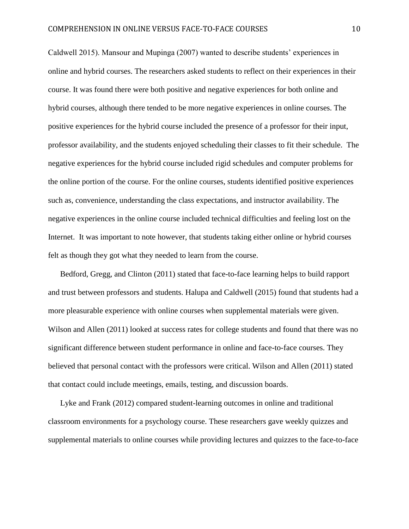Caldwell 2015). Mansour and Mupinga (2007) wanted to describe students' experiences in online and hybrid courses. The researchers asked students to reflect on their experiences in their course. It was found there were both positive and negative experiences for both online and hybrid courses, although there tended to be more negative experiences in online courses. The positive experiences for the hybrid course included the presence of a professor for their input, professor availability, and the students enjoyed scheduling their classes to fit their schedule. The negative experiences for the hybrid course included rigid schedules and computer problems for the online portion of the course. For the online courses, students identified positive experiences such as, convenience, understanding the class expectations, and instructor availability. The negative experiences in the online course included technical difficulties and feeling lost on the Internet. It was important to note however, that students taking either online or hybrid courses felt as though they got what they needed to learn from the course.

Bedford, Gregg, and Clinton (2011) stated that face-to-face learning helps to build rapport and trust between professors and students. Halupa and Caldwell (2015) found that students had a more pleasurable experience with online courses when supplemental materials were given. Wilson and Allen (2011) looked at success rates for college students and found that there was no significant difference between student performance in online and face-to-face courses. They believed that personal contact with the professors were critical. Wilson and Allen (2011) stated that contact could include meetings, emails, testing, and discussion boards.

Lyke and Frank (2012) compared student-learning outcomes in online and traditional classroom environments for a psychology course. These researchers gave weekly quizzes and supplemental materials to online courses while providing lectures and quizzes to the face-to-face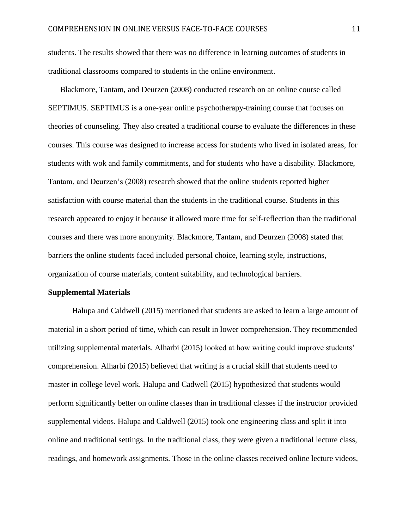students. The results showed that there was no difference in learning outcomes of students in traditional classrooms compared to students in the online environment.

Blackmore, Tantam, and Deurzen (2008) conducted research on an online course called SEPTIMUS. SEPTIMUS is a one-year online psychotherapy-training course that focuses on theories of counseling. They also created a traditional course to evaluate the differences in these courses. This course was designed to increase access for students who lived in isolated areas, for students with wok and family commitments, and for students who have a disability. Blackmore, Tantam, and Deurzen's (2008) research showed that the online students reported higher satisfaction with course material than the students in the traditional course. Students in this research appeared to enjoy it because it allowed more time for self-reflection than the traditional courses and there was more anonymity. Blackmore, Tantam, and Deurzen (2008) stated that barriers the online students faced included personal choice, learning style, instructions, organization of course materials, content suitability, and technological barriers.

#### **Supplemental Materials**

Halupa and Caldwell (2015) mentioned that students are asked to learn a large amount of material in a short period of time, which can result in lower comprehension. They recommended utilizing supplemental materials. Alharbi (2015) looked at how writing could improve students' comprehension. Alharbi (2015) believed that writing is a crucial skill that students need to master in college level work. Halupa and Cadwell (2015) hypothesized that students would perform significantly better on online classes than in traditional classes if the instructor provided supplemental videos. Halupa and Caldwell (2015) took one engineering class and split it into online and traditional settings. In the traditional class, they were given a traditional lecture class, readings, and homework assignments. Those in the online classes received online lecture videos,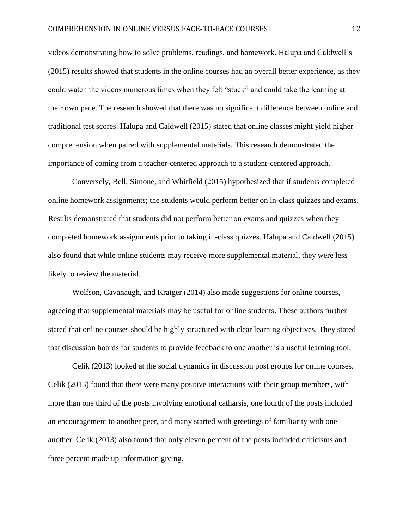videos demonstrating how to solve problems, readings, and homework. Halupa and Caldwell's (2015) results showed that students in the online courses had an overall better experience, as they could watch the videos numerous times when they felt "stuck" and could take the learning at their own pace. The research showed that there was no significant difference between online and traditional test scores. Halupa and Caldwell (2015) stated that online classes might yield higher comprehension when paired with supplemental materials. This research demonstrated the importance of coming from a teacher-centered approach to a student-centered approach.

Conversely, Bell, Simone, and Whitfield (2015) hypothesized that if students completed online homework assignments; the students would perform better on in-class quizzes and exams. Results demonstrated that students did not perform better on exams and quizzes when they completed homework assignments prior to taking in-class quizzes. Halupa and Caldwell (2015) also found that while online students may receive more supplemental material, they were less likely to review the material.

Wolfson, Cavanaugh, and Kraiger (2014) also made suggestions for online courses, agreeing that supplemental materials may be useful for online students. These authors further stated that online courses should be highly structured with clear learning objectives. They stated that discussion boards for students to provide feedback to one another is a useful learning tool.

Celik (2013) looked at the social dynamics in discussion post groups for online courses. Celik (2013) found that there were many positive interactions with their group members, with more than one third of the posts involving emotional catharsis, one fourth of the posts included an encouragement to another peer, and many started with greetings of familiarity with one another. Celik (2013) also found that only eleven percent of the posts included criticisms and three percent made up information giving.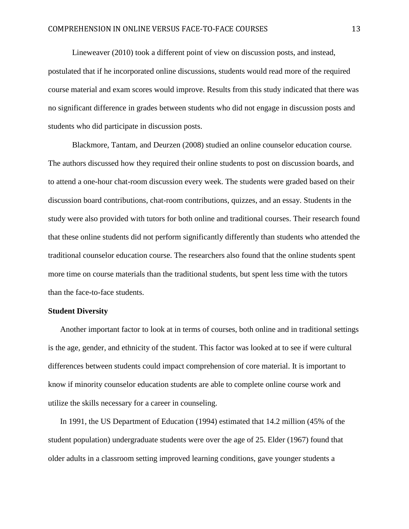Lineweaver (2010) took a different point of view on discussion posts, and instead, postulated that if he incorporated online discussions, students would read more of the required course material and exam scores would improve. Results from this study indicated that there was no significant difference in grades between students who did not engage in discussion posts and students who did participate in discussion posts.

Blackmore, Tantam, and Deurzen (2008) studied an online counselor education course. The authors discussed how they required their online students to post on discussion boards, and to attend a one-hour chat-room discussion every week. The students were graded based on their discussion board contributions, chat-room contributions, quizzes, and an essay. Students in the study were also provided with tutors for both online and traditional courses. Their research found that these online students did not perform significantly differently than students who attended the traditional counselor education course. The researchers also found that the online students spent more time on course materials than the traditional students, but spent less time with the tutors than the face-to-face students.

#### **Student Diversity**

Another important factor to look at in terms of courses, both online and in traditional settings is the age, gender, and ethnicity of the student. This factor was looked at to see if were cultural differences between students could impact comprehension of core material. It is important to know if minority counselor education students are able to complete online course work and utilize the skills necessary for a career in counseling.

In 1991, the US Department of Education (1994) estimated that 14.2 million (45% of the student population) undergraduate students were over the age of 25. Elder (1967) found that older adults in a classroom setting improved learning conditions, gave younger students a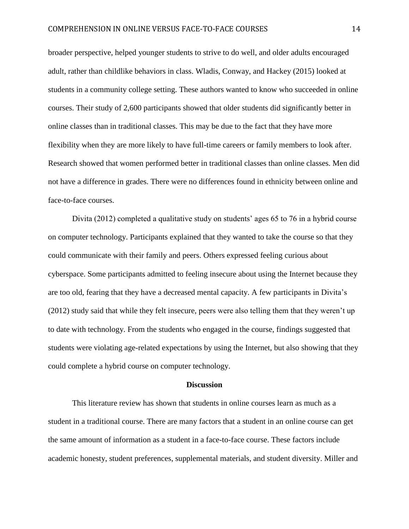broader perspective, helped younger students to strive to do well, and older adults encouraged adult, rather than childlike behaviors in class. Wladis, Conway, and Hackey (2015) looked at students in a community college setting. These authors wanted to know who succeeded in online courses. Their study of 2,600 participants showed that older students did significantly better in online classes than in traditional classes. This may be due to the fact that they have more flexibility when they are more likely to have full-time careers or family members to look after. Research showed that women performed better in traditional classes than online classes. Men did not have a difference in grades. There were no differences found in ethnicity between online and face-to-face courses.

Divita (2012) completed a qualitative study on students' ages 65 to 76 in a hybrid course on computer technology. Participants explained that they wanted to take the course so that they could communicate with their family and peers. Others expressed feeling curious about cyberspace. Some participants admitted to feeling insecure about using the Internet because they are too old, fearing that they have a decreased mental capacity. A few participants in Divita's (2012) study said that while they felt insecure, peers were also telling them that they weren't up to date with technology. From the students who engaged in the course, findings suggested that students were violating age-related expectations by using the Internet, but also showing that they could complete a hybrid course on computer technology.

#### **Discussion**

This literature review has shown that students in online courses learn as much as a student in a traditional course. There are many factors that a student in an online course can get the same amount of information as a student in a face-to-face course. These factors include academic honesty, student preferences, supplemental materials, and student diversity. Miller and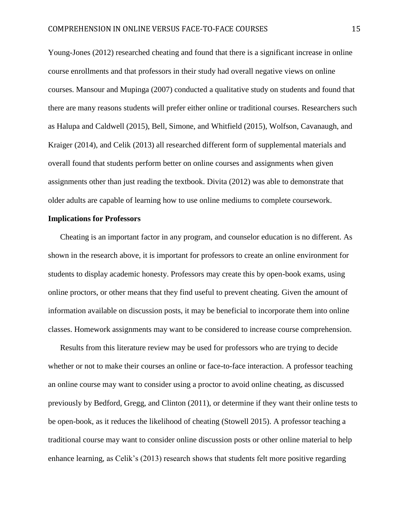Young-Jones (2012) researched cheating and found that there is a significant increase in online course enrollments and that professors in their study had overall negative views on online courses. Mansour and Mupinga (2007) conducted a qualitative study on students and found that there are many reasons students will prefer either online or traditional courses. Researchers such as Halupa and Caldwell (2015), Bell, Simone, and Whitfield (2015), Wolfson, Cavanaugh, and Kraiger (2014), and Celik (2013) all researched different form of supplemental materials and overall found that students perform better on online courses and assignments when given assignments other than just reading the textbook. Divita (2012) was able to demonstrate that older adults are capable of learning how to use online mediums to complete coursework.

#### **Implications for Professors**

Cheating is an important factor in any program, and counselor education is no different. As shown in the research above, it is important for professors to create an online environment for students to display academic honesty. Professors may create this by open-book exams, using online proctors, or other means that they find useful to prevent cheating. Given the amount of information available on discussion posts, it may be beneficial to incorporate them into online classes. Homework assignments may want to be considered to increase course comprehension.

Results from this literature review may be used for professors who are trying to decide whether or not to make their courses an online or face-to-face interaction. A professor teaching an online course may want to consider using a proctor to avoid online cheating, as discussed previously by Bedford, Gregg, and Clinton (2011), or determine if they want their online tests to be open-book, as it reduces the likelihood of cheating (Stowell 2015). A professor teaching a traditional course may want to consider online discussion posts or other online material to help enhance learning, as Celik's (2013) research shows that students felt more positive regarding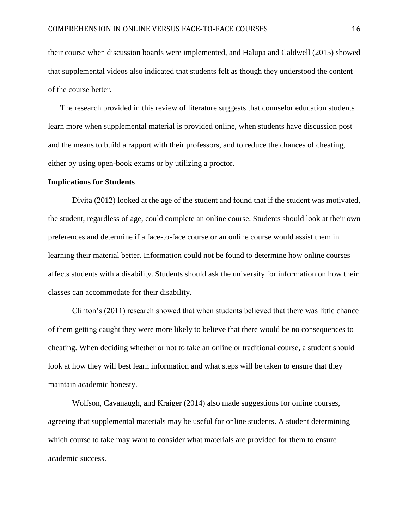their course when discussion boards were implemented, and Halupa and Caldwell (2015) showed that supplemental videos also indicated that students felt as though they understood the content of the course better.

The research provided in this review of literature suggests that counselor education students learn more when supplemental material is provided online, when students have discussion post and the means to build a rapport with their professors, and to reduce the chances of cheating, either by using open-book exams or by utilizing a proctor.

#### **Implications for Students**

Divita (2012) looked at the age of the student and found that if the student was motivated, the student, regardless of age, could complete an online course. Students should look at their own preferences and determine if a face-to-face course or an online course would assist them in learning their material better. Information could not be found to determine how online courses affects students with a disability. Students should ask the university for information on how their classes can accommodate for their disability.

Clinton's (2011) research showed that when students believed that there was little chance of them getting caught they were more likely to believe that there would be no consequences to cheating. When deciding whether or not to take an online or traditional course, a student should look at how they will best learn information and what steps will be taken to ensure that they maintain academic honesty.

Wolfson, Cavanaugh, and Kraiger (2014) also made suggestions for online courses, agreeing that supplemental materials may be useful for online students. A student determining which course to take may want to consider what materials are provided for them to ensure academic success.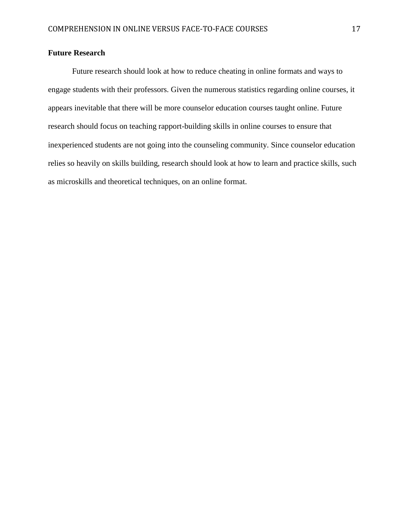## **Future Research**

Future research should look at how to reduce cheating in online formats and ways to engage students with their professors. Given the numerous statistics regarding online courses, it appears inevitable that there will be more counselor education courses taught online. Future research should focus on teaching rapport-building skills in online courses to ensure that inexperienced students are not going into the counseling community. Since counselor education relies so heavily on skills building, research should look at how to learn and practice skills, such as microskills and theoretical techniques, on an online format.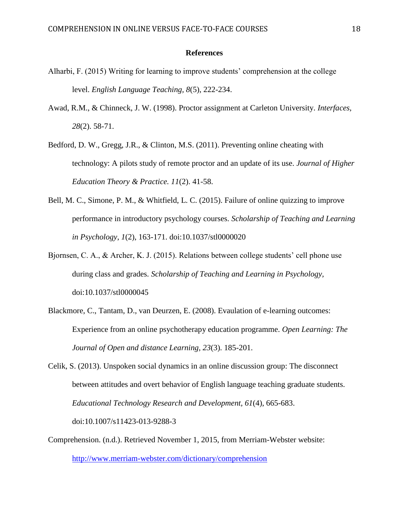#### **References**

- Alharbi, F. (2015) Writing for learning to improve students' comprehension at the college level. *English Language Teaching, 8*(5), 222-234.
- Awad, R.M., & Chinneck, J. W. (1998). Proctor assignment at Carleton University. *Interfaces, 28*(2). 58-71.
- Bedford, D. W., Gregg, J.R., & Clinton, M.S. (2011). Preventing online cheating with technology: A pilots study of remote proctor and an update of its use. *Journal of Higher Education Theory & Practice. 11*(2). 41-58.
- Bell, M. C., Simone, P. M., & Whitfield, L. C. (2015). Failure of online quizzing to improve performance in introductory psychology courses. *Scholarship of Teaching and Learning in Psychology*, *1*(2), 163-171. doi:10.1037/stl0000020
- Bjornsen, C. A., & Archer, K. J. (2015). Relations between college students' cell phone use during class and grades. *Scholarship of Teaching and Learning in Psychology,*  doi:10.1037/stl0000045
- Blackmore, C., Tantam, D., van Deurzen, E. (2008). Evaulation of e-learning outcomes: Experience from an online psychotherapy education programme. *Open Learning: The Journal of Open and distance Learning, 23*(3). 185-201.
- Celik, S. (2013). Unspoken social dynamics in an online discussion group: The disconnect between attitudes and overt behavior of English language teaching graduate students. *Educational Technology Research and Development, 61*(4), 665-683. doi:10.1007/s11423-013-9288-3
- Comprehension. (n.d.). Retrieved November 1, 2015, from Merriam-Webster website: <http://www.merriam-webster.com/dictionary/comprehension>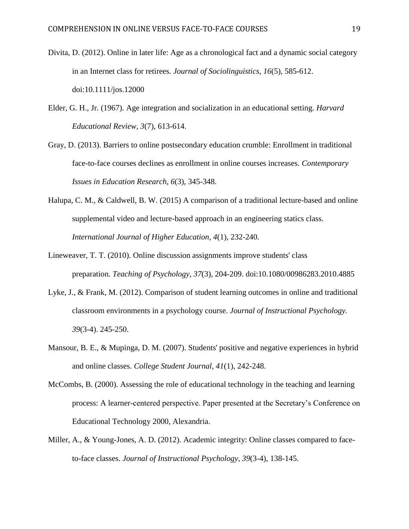- Divita, D. (2012). Online in later life: Age as a chronological fact and a dynamic social category in an Internet class for retirees. *Journal of Sociolinguistics, 16*(5), 585-612. doi:10.1111/jos.12000
- Elder, G. H., Jr. (1967). Age integration and socialization in an educational setting. *Harvard Educational Review, 3*(7), 613-614.
- Gray, D. (2013). Barriers to online postsecondary education crumble: Enrollment in traditional face-to-face courses declines as enrollment in online courses increases. *Contemporary Issues in Education Research, 6*(3), 345-348.
- Halupa, C. M., & Caldwell, B. W. (2015) A comparison of a traditional lecture-based and online supplemental video and lecture-based approach in an engineering statics class. *International Journal of Higher Education, 4*(1), 232-240.
- Lineweaver, T. T. (2010). Online discussion assignments improve students' class preparation. *Teaching of Psychology*, *37*(3), 204-209. doi:10.1080/00986283.2010.4885
- Lyke, J., & Frank, M. (2012). Comparison of student learning outcomes in online and traditional classroom environments in a psychology course. *Journal of Instructional Psychology. 39*(3-4). 245-250.
- Mansour, B. E., & Mupinga, D. M. (2007). Students' positive and negative experiences in hybrid and online classes. *College Student Journal, 41*(1), 242-248.
- McCombs, B. (2000). Assessing the role of educational technology in the teaching and learning process: A learner-centered perspective. Paper presented at the Secretary's Conference on Educational Technology 2000, Alexandria.
- Miller, A., & Young-Jones, A. D. (2012). Academic integrity: Online classes compared to faceto-face classes. *Journal of Instructional Psychology*, *39*(3-4), 138-145.